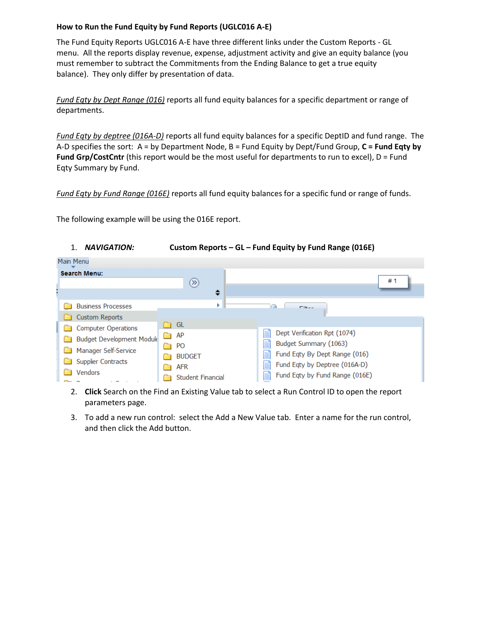## **How to Run the Fund Equity by Fund Reports (UGLC016 A-E)**

The Fund Equity Reports UGLC016 A-E have three different links under the Custom Reports - GL menu. All the reports display revenue, expense, adjustment activity and give an equity balance (you must remember to subtract the Commitments from the Ending Balance to get a true equity balance). They only differ by presentation of data.

*Fund Eqty by Dept Range (016)* reports all fund equity balances for a specific department or range of departments.

*Fund Eqty by deptree (016A-D)* reports all fund equity balances for a specific DeptID and fund range. The A-D specifies the sort: A = by Department Node, B = Fund Equity by Dept/Fund Group, **C = Fund Eqty by Fund Grp/CostCntr** (this report would be the most useful for departments to run to excel), D = Fund Eqty Summary by Fund.

*Fund Eqty by Fund Range (016E)* reports all fund equity balances for a specific fund or range of funds.

The following example will be using the 016E report.



- 2. **Click** Search on the Find an Existing Value tab to select a Run Control ID to open the report parameters page.
- 3. To add a new run control: select the Add a New Value tab. Enter a name for the run control, and then click the Add button.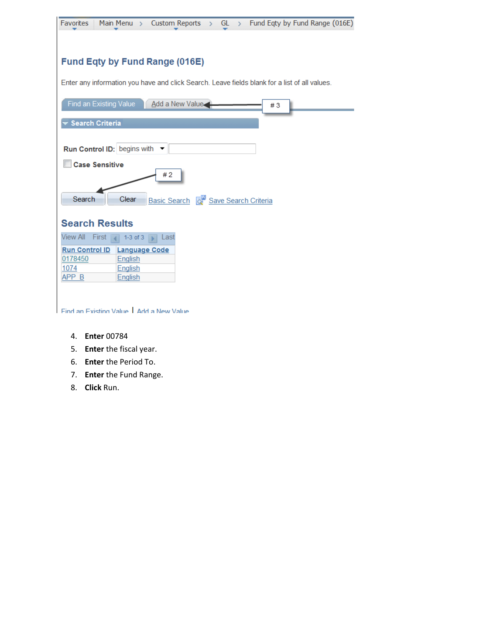| Custom Reports > GL > Fund Eqty by Fund Range (016E)<br>Favorites<br>Main Menu $\rightarrow$  |
|-----------------------------------------------------------------------------------------------|
|                                                                                               |
|                                                                                               |
| <b>Fund Eqty by Fund Range (016E)</b>                                                         |
| Enter any information you have and click Search. Leave fields blank for a list of all values. |
| Find an Existing Value Add a New Value<br>#3                                                  |
| <b>Search Criteria</b>                                                                        |
|                                                                                               |
| Run Control ID: begins with ▼                                                                 |
| <b>Case Sensitive</b><br>#2                                                                   |
| Search<br>Clear<br>Basic Search <b>of Save Search Criteria</b>                                |
| <b>Search Results</b>                                                                         |
| <b>View All</b><br>First<br>$1-3$ of $3$<br>Last                                              |
| <b>Run Control ID</b><br><b>Language Code</b><br>0178450<br>English<br>1074<br><u>English</u> |
| APP B<br>English                                                                              |
|                                                                                               |
| Find an Existing Value Add a New Value                                                        |

- 4. **Enter** 00784
- 5. **Enter** the fiscal year.
- 6. **Enter** the Period To.
- 7. **Enter** the Fund Range.
- 8. **Click** Run.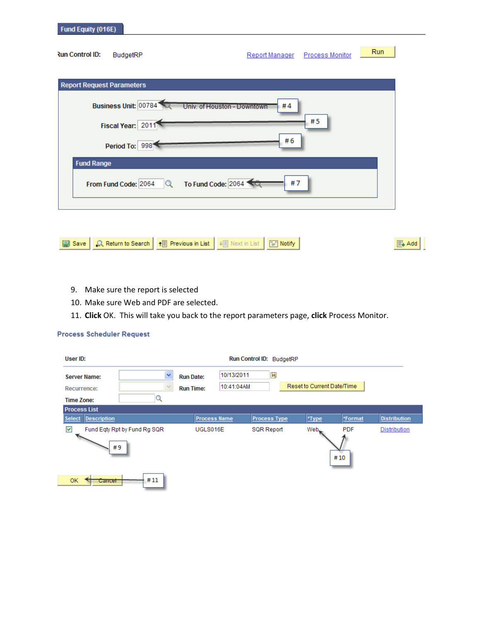| <b>Run Control ID:</b>           | BudgetRP             |                             | Report Manager | <b>Process Monitor</b> | <b>Run</b> |
|----------------------------------|----------------------|-----------------------------|----------------|------------------------|------------|
| <b>Report Request Parameters</b> |                      |                             |                |                        |            |
|                                  | Business Unit: 00784 | Univ. of Houston - Downtown | #4             | #5                     |            |
|                                  | Fiscal Year: 2011    |                             | #6             |                        |            |
| <b>Fund Range</b>                | Period To: 998       |                             |                |                        |            |
|                                  | From Fund Code: 2064 | To Fund Code: 2064          | #7             |                        |            |
|                                  |                      |                             |                |                        |            |

- 9. Make sure the report is selected
- 10. Make sure Web and PDF are selected.
- 11. **Click** OK. This will take you back to the report parameters page, **click** Process Monitor.

## **Process Scheduler Request**

| User ID:                                                   |                                    |                                      |                          | Run Control ID: BudgetRP |                            |                   |                     |
|------------------------------------------------------------|------------------------------------|--------------------------------------|--------------------------|--------------------------|----------------------------|-------------------|---------------------|
| <b>Server Name:</b><br>Recurrence:<br><b>Time Zone:</b>    | v                                  | <b>Run Date:</b><br><b>Run Time:</b> | 10/13/2011<br>10:41:04AM | $\overline{\mathbf{31}}$ | Reset to Current Date/Time |                   |                     |
| <b>Process List</b><br><b>Description</b><br><b>Select</b> |                                    | <b>Process Name</b>                  |                          | <b>Process Type</b>      | *Type                      | *Format           | <b>Distribution</b> |
| $\blacktriangledown$                                       | Fund Eqty Rpt by Fund Rg SQR<br>#9 | UGLS016E                             |                          | <b>SQR Report</b>        | Web_                       | <b>PDF</b><br>#10 | Distribution        |
| <b>OK</b><br>Cancel                                        | #11                                |                                      |                          |                          |                            |                   |                     |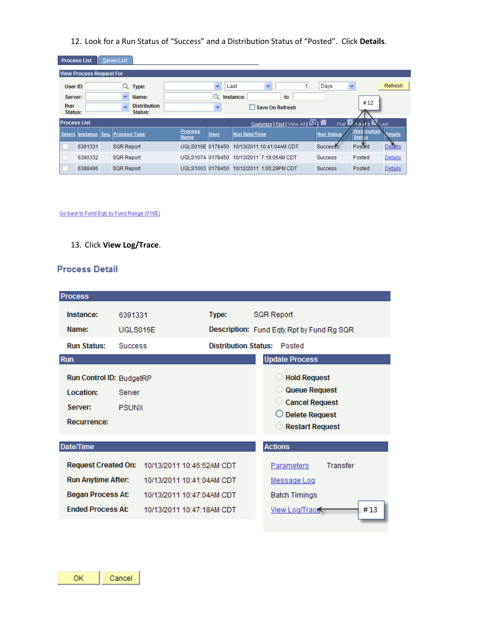12. Look for a Run Status of "Success" and a Distribution Status of "Posted". Click **Details**.

| <b>Process List</b>   |                                 | Server List                                    |                               |      |                                 |                      |                                      |                |
|-----------------------|---------------------------------|------------------------------------------------|-------------------------------|------|---------------------------------|----------------------|--------------------------------------|----------------|
|                       | <b>View Process Request For</b> |                                                |                               |      |                                 |                      |                                      |                |
| User ID:              |                                 | Type:                                          |                               | v    | Last<br>v                       | Days                 | $\checkmark$                         | Refresh        |
| Server:               |                                 | v<br>Name:                                     |                               |      | Instance:<br>to                 |                      |                                      |                |
| <b>Run</b><br>Status: |                                 | <b>Distribution</b><br>$\checkmark$<br>Status: |                               | v    | Save On Refresh                 |                      | #12                                  |                |
| <b>Process List</b>   |                                 |                                                |                               |      | Customize   Find   View All   图 | First                | $1-3$ cf $3$                         | Last           |
|                       |                                 | Select Instance Seq. Process Type              | <b>Process</b><br><b>Name</b> | User | <b>Run Date/Time</b>            | <b>Run Status</b>    | <b>Distribution</b><br><b>Status</b> | <b>Details</b> |
|                       | 6391331                         | <b>SQR Report</b>                              | UGLS016E 0178450              |      | 10/13/2011 10:41:04AM CDT       | Success <sup>*</sup> | Posted                               | <b>Details</b> |
|                       | 6390332                         | <b>SQR Report</b>                              | UGLS1074 0178450              |      | 10/13/2011 7:19:06AM CDT        | <b>Success</b>       | Posted                               | <b>Details</b> |
|                       | 6388496                         | <b>SQR Report</b>                              | UGLS1063 0178450              |      | 10/12/2011 1:05:29PM CDT        | <b>Success</b>       | Posted                               | <b>Details</b> |

Go back to Fund Eqty by Fund Range (016E)

13. Click **View Log/Trace**.

## **Process Detail**